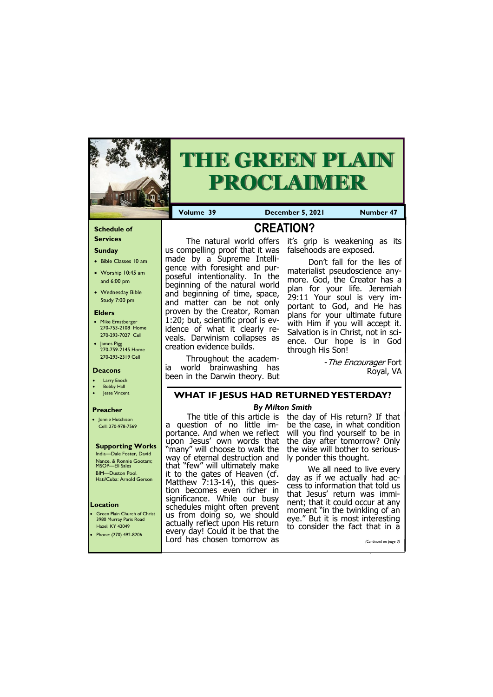#### **Schedule of Services**

# **Sunday**

- Bible Classes 10 am
- Worship 10:45 am and 6:00 pm
- Wednesday Bible Study 7:00 pm

#### **Elders**

**Green Plain Church of Christ** 3980 Murray Paris Road Hazel, KY 42049

- Mike Ernstberger 270-753-2108 Home 270-293-7027 Cell
- James Pigg 270-759-2145 Home 270-293-2319 Cell

#### **Location**



# **THE GREEN PLAIN PROCLAIMER**

**Volume 39 December 5, 2021 Number 47** 

#### **Deacons**

- **Larry Enoch**
- **Bobby Hall**
- Jesse Vincent

#### **Preacher**

• Jonnie Hutchison Cell: 270-978-7569

#### **Supporting Works** India—Dale Foster, David

Nance. & Ronnie Gootam; MSOP—Eli Sales BIM—Duston Pool. Hati/Cuba: Arnold Gerson **CREATION?**

- The Encourager Fort Royal, VA

us compelling proof that it was falsehoods are exposed. made by a Supreme Intelligence with foresight and purposeful intentionality. In the beginning of the natural world and beginning of time, space, and matter can be not only proven by the Creator, Roman 1:20; but, scientific proof is evidence of what it clearly reveals. Darwinism collapses as creation evidence builds.

The natural world offers it's grip is weakening as its

Throughout the academia world brainwashing has been in the Darwin theory. But

> We all need to live every day as if we actually had access to information that told us that Jesus' return was imminent; that it could occur at any moment "in the twinkling of an eye." But it is most interesting or the fact that

Don't fall for the lies of materialist pseudoscience anymore. God, the Creator has a plan for your life. Jeremiah 29:11 Your soul is very important to God, and He has plans for your ultimate future with Him if you will accept it. Salvation is in Christ, not in science. Our hope is in God through His Son!

| 110456. INTERNATIONAL     | every day! Could it be that the | to consider the ract that in a |
|---------------------------|---------------------------------|--------------------------------|
| • Phone: $(270)$ 492-8206 | Lord has chosen tomorrow as     | (Continued on page 3)          |
|                           |                                 |                                |

## **WHAT IF JESUS HAD RETURNED YESTERDAY?**

#### *By Milton Smith*

The title of this article is a question of no little importance. And when we reflect upon Jesus' own words that "many" will choose to walk the way of eternal destruction and that "few" will ultimately make it to the gates of Heaven (cf. Matthew 7:13-14), this question becomes even richer in significance. While our busy schedules might often prevent us from doing so, we should actually reflect upon His return

the day of His return? If that be the case, in what condition will you find yourself to be in the day after tomorrow? Only the wise will bother to seriously ponder this thought.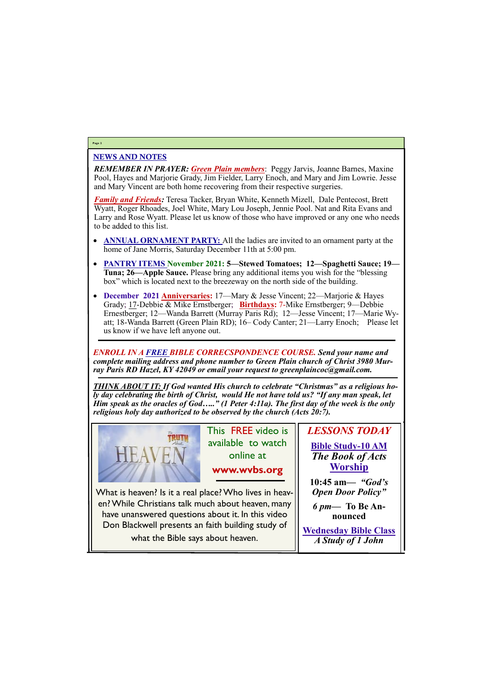### NEWS AND NOTES

*REMEMBER IN PRAYER: Green Plain members*: Peggy Jarvis, Joanne Barnes, Maxine Pool, Hayes and Marjorie Grady, Jim Fielder, Larry Enoch, and Mary and Jim Lowrie. Jesse and Mary Vincent are both home recovering from their respective surgeries.

*Family and Friends:* Teresa Tacker, Bryan White, Kenneth Mizell, Dale Pentecost, Brett Wyatt, Roger Rhoades, Joel White, Mary Lou Joseph, Jennie Pool. Nat and Rita Evans and Larry and Rose Wyatt. Please let us know of those who have improved or any one who needs to be added to this list.

- **ANNUAL ORNAMENT PARTY:** All the ladies are invited to an ornament party at the home of Jane Morris, Saturday December 11th at 5:00 pm.
- **PANTRY ITEMS November 2021: 5—Stewed Tomatoes; 12—Spaghetti Sauce; 19— Tuna; 26—Apple Sauce.** Please bring any additional items you wish for the "blessing box" which is located next to the breezeway on the north side of the building.
- **December 2021 Anniversaries:** 17—Mary & Jesse Vincent; 22—Marjorie & Hayes Grady; 17-Debbie & Mike Ernstberger; **Birthdays:** 7-Mike Ernstberger; 9—Debbie Ernestberger; 12—Wanda Barrett (Murray Paris Rd); 12—Jesse Vincent; 17—Marie Wyatt; 18-Wanda Barrett (Green Plain RD); 16– Cody Canter; 21—Larry Enoch; Please let us know if we have left anyone out.

*ENROLL IN A FREE BIBLE CORRECSPONDENCE COURSE. Send your name and complete mailing address and phone number to Green Plain church of Christ 3980 Murray Paris RD Hazel, KY 42049 or email your request to greenplaincoc@gmail.com.*

*THINK ABOUT IT: If God wanted His church to celebrate "Christmas" as a religious holy day celebrating the birth of Christ, would He not have told us? "If any man speak, let Him speak as the oracles of God….." (1 Peter 4:11a). The first day of the week is the only religious holy day authorized to be observed by the church (Acts 20:7).*



## **Page 2**

This FREE video is available to watch online at

**www.wvbs.org** 

*LESSONS TODAY* **Bible Study-10 AM** *The Book of Acts* **Worship**

**10:45 am***— "God's Open Door Policy"*

*6 pm***— To Be Announced**

**Wednesday Bible Class** *A Study of 1 John*

What is heaven? Is it a real place? Who lives in heaven? While Christians talk much about heaven, many have unanswered questions about it. In this video Don Blackwell presents an faith building study of

what the Bible says about heaven.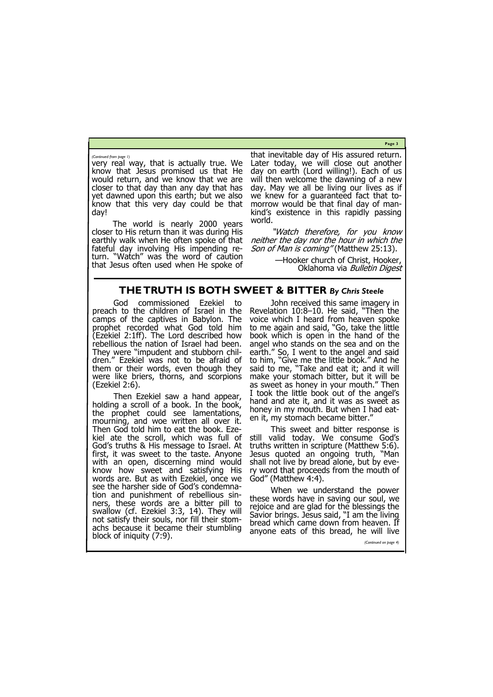**Page 3**

very real way, that is actually true. We know that Jesus promised us that He would return, and we know that we are closer to that day than any day that has yet dawned upon this earth; but we also know that this very day could be that day!

The world is nearly 2000 years closer to His return than it was during His earthly walk when He often spoke of that fateful day involving His impending return. "Watch" was the word of caution that Jesus often used when He spoke of

"Watch therefore, for you know neither the day nor the hour in which the Son of Man is coming" (Matthew 25:13).

that inevitable day of His assured return. Later today, we will close out another day on earth (Lord willing!). Each of us will then welcome the dawning of a new day. May we all be living our lives as if we knew for a guaranteed fact that tomorrow would be that final day of mankind's existence in this rapidly passing world.

> —Hooker church of Christ, Hooker, Oklahoma via Bulletin Digest

*(Continued from page 1)*

# **THE TRUTH IS BOTH SWEET & BITTER** *By Chris Steele*

God commissioned Ezekiel to preach to the children of Israel in the camps of the captives in Babylon. The prophet recorded what God told him (Ezekiel 2:1ff). The Lord described how rebellious the nation of Israel had been. They were "impudent and stubborn children." Ezekiel was not to be afraid of them or their words, even though they were like briers, thorns, and scorpions (Ezekiel 2:6).

Then Ezekiel saw a hand appear, holding a scroll of a book. In the book, the prophet could see lamentations, mourning, and woe written all over it. Then God told him to eat the book. Ezekiel ate the scroll, which was full of God's truths & His message to Israel. At first, it was sweet to the taste. Anyone with an open, discerning mind would know how sweet and satisfying His words are. But as with Ezekiel, once we see the harsher side of God's condemnation and punishment of rebellious sinners, these words are a bitter pill to swallow (cf. Ezekiel 3:3, 14). They will not satisfy their souls, nor fill their stomachs because it became their stumbling block of iniquity (7:9). hand and ate it, and it was as sweet as honey in my mouth. But when I had eaten it, my stomach became bitter." This sweet and bitter response is still valid today. We consume God's truths written in scripture (Matthew 5:6). Jesus quoted an ongoing truth, "Man shall not live by bread alone, but by every word that proceeds from the mouth of God" (Matthew 4:4). When we understand the power these words have in saving our soul, we rejoice and are glad for the blessings the Savior brings. Jesus said, "I am the living bread which came down from heaven. If anyone eats of this bread, he will live *(Continued on page 4)*

John received this same imagery in Revelation 10:8–10. He said, "Then the voice which I heard from heaven spoke to me again and said, "Go, take the little book which is open in the hand of the angel who stands on the sea and on the earth." So, I went to the angel and said to him, "Give me the little book." And he said to me, "Take and eat it; and it will make your stomach bitter, but it will be as sweet as honey in your mouth." Then I took the little book out of the angel's